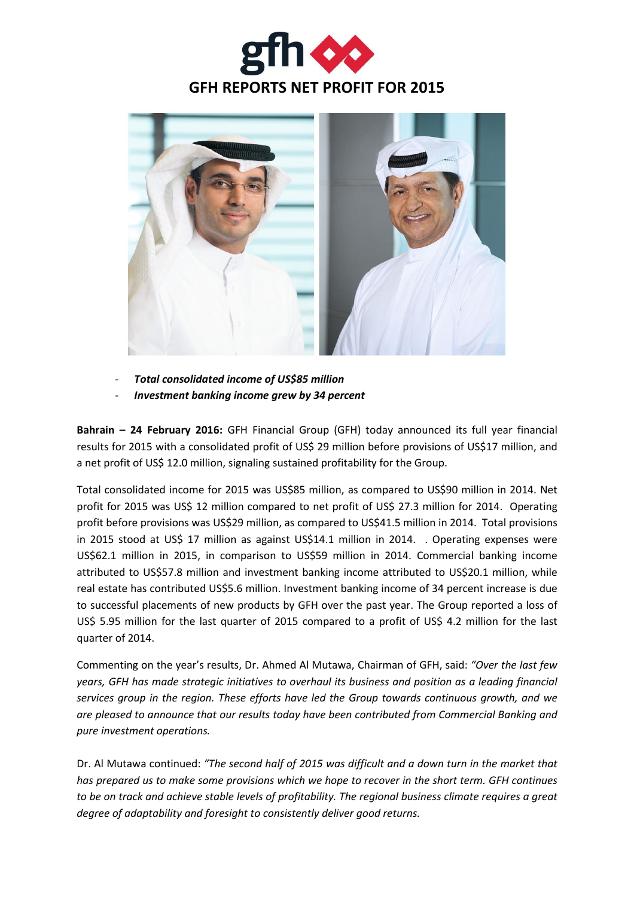



- *Total consolidated income of US\$85 million* - *Investment banking income grew by 34 percent*

**Bahrain – 24 February 2016:** GFH Financial Group (GFH) today announced its full year financial results for 2015 with a consolidated profit of US\$ 29 million before provisions of US\$17 million, and a net profit of US\$ 12.0 million, signaling sustained profitability for the Group.

Total consolidated income for 2015 was US\$85 million, as compared to US\$90 million in 2014. Net profit for 2015 was US\$ 12 million compared to net profit of US\$ 27.3 million for 2014. Operating profit before provisions was US\$29 million, as compared to US\$41.5 million in 2014. Total provisions in 2015 stood at US\$ 17 million as against US\$14.1 million in 2014. . Operating expenses were US\$62.1 million in 2015, in comparison to US\$59 million in 2014. Commercial banking income attributed to US\$57.8 million and investment banking income attributed to US\$20.1 million, while real estate has contributed US\$5.6 million. Investment banking income of 34 percent increase is due to successful placements of new products by GFH over the past year. The Group reported a loss of US\$ 5.95 million for the last quarter of 2015 compared to a profit of US\$ 4.2 million for the last quarter of 2014.

Commenting on the year's results, Dr. Ahmed Al Mutawa, Chairman of GFH, said: *"Over the last few years, GFH has made strategic initiatives to overhaul its business and position as a leading financial services group in the region. These efforts have led the Group towards continuous growth, and we are pleased to announce that our results today have been contributed from Commercial Banking and pure investment operations.*

Dr. Al Mutawa continued: *"The second half of 2015 was difficult and a down turn in the market that has prepared us to make some provisions which we hope to recover in the short term. GFH continues to be on track and achieve stable levels of profitability. The regional business climate requires a great degree of adaptability and foresight to consistently deliver good returns.*